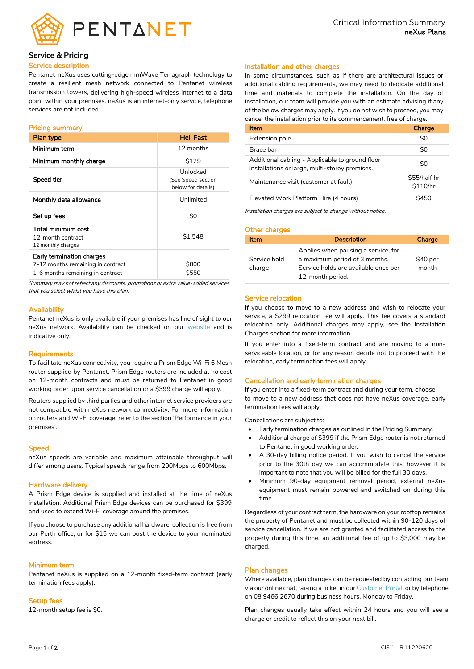

# Service & Pricing

## Service description

Pentanet neXus uses cutting-edge mmWave Terragraph technology to create a resilient mesh network connected to Pentanet wireless transmission towers, delivering high-speed wireless internet to a data point within your premises. neXus is an internet-only service, telephone services are not included.

### Pricing summary

| <b>Plan type</b>                                                                                   | <b>Hell Fast</b>                                     |
|----------------------------------------------------------------------------------------------------|------------------------------------------------------|
| Minimum term                                                                                       | 12 months                                            |
| Minimum monthly charge                                                                             | \$129                                                |
| Speed tier                                                                                         | Unlocked<br>(See Speed section<br>below for details) |
| Monthly data allowance                                                                             | Unlimited                                            |
| Set up fees                                                                                        | \$0                                                  |
| Total minimum cost<br>12-month contract<br>12 monthly charges                                      | \$1.548                                              |
| Early termination charges<br>7-12 months remaining in contract<br>1-6 months remaining in contract | \$800<br><b>\$550</b>                                |

Summary may not reflect any discounts, promotions or extra value-added services that you select whilst you have this plan.

### **Availability**

Pentanet neXus is only available if your premises has line of sight to our neXus network. Availability can be checked on our [website](https://pentanet.com.au/) and is indicative only.

### **Requirements**

To facilitate neXus connectivity, you require a Prism Edge Wi-Fi 6 Mesh router supplied by Pentanet. Prism Edge routers are included at no cost on 12-month contracts and must be returned to Pentanet in good working order upon service cancellation or a \$399 charge will apply.

Routers supplied by third parties and other internet service providers are not compatible with neXus network connectivity. For more information on routers and Wi-Fi coverage, refer to the section 'Performance in your premises'.

#### **Speed**

neXus speeds are variable and maximum attainable throughput will differ among users. Typical speeds range from 200Mbps to 600Mbps.

## Hardware delivery

A Prism Edge device is supplied and installed at the time of neXus installation. Additional Prism Edge devices can be purchased for \$399 and used to extend Wi-Fi coverage around the premises.

If you choose to purchase any additional hardware, collection is free from our Perth office, or for \$15 we can post the device to your nominated address.

### Minimum term

Pentanet neXus is supplied on a 12-month fixed-term contract (early termination fees apply).

#### Setup fees

12-month setup fee is \$0.

### Installation and other charges

In some circumstances, such as if there are architectural issues or additional cabling requirements, we may need to dedicate additional time and materials to complete the installation. On the day of installation, our team will provide you with an estimate advising if any of the below charges may apply. If you do not wish to proceed, you may cancel the installation prior to its commencement, free of charge.

| <b>Item</b>                                                                                       | Charge                   |
|---------------------------------------------------------------------------------------------------|--------------------------|
| Extension pole                                                                                    | \$0                      |
| Brace bar                                                                                         | \$0                      |
| Additional cabling - Applicable to ground floor<br>installations or large, multi-storey premises. | \$0                      |
| Maintenance visit (customer at fault)                                                             | \$55/half hr<br>\$110/hr |
| Elevated Work Platform Hire (4 hours)                                                             | <b>\$450</b>             |

Installation charges are subject to change without notice.

#### Other charges

| <b>Item</b>            | <b>Description</b>                                                                                                               | Charge            |
|------------------------|----------------------------------------------------------------------------------------------------------------------------------|-------------------|
| Service hold<br>charge | Applies when pausing a service, for<br>a maximum period of 3 months.<br>Service holds are available once per<br>12-month period. | \$40 per<br>month |

### Service relocation

If you choose to move to a new address and wish to relocate your service, a \$299 relocation fee will apply. This fee covers a standard relocation only. Additional charges may apply, see the Installation Charges section for more information.

If you enter into a fixed-term contract and are moving to a nonserviceable location, or for any reason decide not to proceed with the relocation, early termination fees will apply.

### Cancellation and early termination charges

If you enter into a fixed-term contract and during your term, choose to move to a new address that does not have neXus coverage, early termination fees will apply.

Cancellations are subject to:

- Early termination charges as outlined in the Pricing Summary.
- Additional charge of \$399 if the Prism Edge router is not returned to Pentanet in good working order.
- A 30-day billing notice period. If you wish to cancel the service prior to the 30th day we can accommodate this, however it is important to note that you will be billed for the full 30 days.
- Minimum 90-day equipment removal period, external neXus equipment must remain powered and switched on during this time.

Regardless of your contract term, the hardware on your rooftop remains the property of Pentanet and must be collected within 90-120 days of service cancellation. If we are not granted and facilitated access to the property during this time, an additional fee of up to \$3,000 may be charged.

## Plan changes

Where available, plan changes can be requested by contacting our team via our online chat, raising a ticket in ou[r Customer Portal,](https://my.pentanet.com.au/login/) or by telephone on 08 9466 2670 during business hours, Monday to Friday.

Plan changes usually take effect within 24 hours and you will see a charge or credit to reflect this on your next bill.